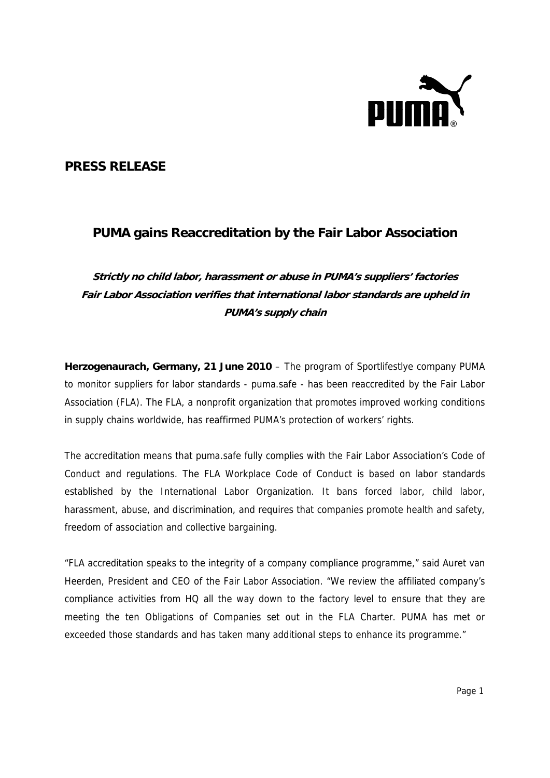

## **PRESS RELEASE**

## **PUMA gains Reaccreditation by the Fair Labor Association**

**Strictly no child labor, harassment or abuse in PUMA's suppliers' factories Fair Labor Association verifies that international labor standards are upheld in PUMA's supply chain** 

**Herzogenaurach, Germany, 21 June 2010** – The program of Sportlifestlye company PUMA to monitor suppliers for labor standards - puma.safe - has been reaccredited by the Fair Labor Association (FLA). The FLA, a nonprofit organization that promotes improved working conditions in supply chains worldwide, has reaffirmed PUMA's protection of workers' rights.

The accreditation means that puma.safe fully complies with the Fair Labor Association's Code of Conduct and regulations. The FLA Workplace Code of Conduct is based on labor standards established by the International Labor Organization. It bans forced labor, child labor, harassment, abuse, and discrimination, and requires that companies promote health and safety, freedom of association and collective bargaining.

"FLA accreditation speaks to the integrity of a company compliance programme," said Auret van Heerden, President and CEO of the Fair Labor Association. "We review the affiliated company's compliance activities from HQ all the way down to the factory level to ensure that they are meeting the ten Obligations of Companies set out in the FLA Charter. PUMA has met or exceeded those standards and has taken many additional steps to enhance its programme."